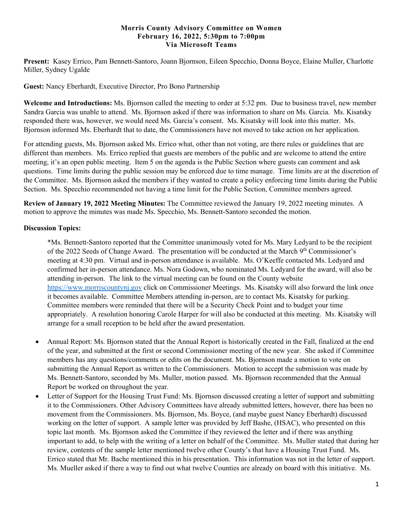## **Morris County Advisory Committee on Women February 16, 2022, 5:30pm to 7:00pm Via Microsoft Teams**

**Present:** Kasey Errico, Pam Bennett-Santoro, Joann Bjornson, Eileen Specchio, Donna Boyce, Elaine Muller, Charlotte Miller, Sydney Ugalde

**Guest:** Nancy Eberhardt, Executive Director, Pro Bono Partnership

**Welcome and Introductions:** Ms. Bjornson called the meeting to order at 5:32 pm. Due to business travel, new member Sandra Garcia was unable to attend. Ms. Bjornson asked if there was information to share on Ms. Garcia. Ms. Kisatsky responded there was, however, we would need Ms. Garcia's consent. Ms. Kisatsky will look into this matter. Ms. Bjornson informed Ms. Eberhardt that to date, the Commissioners have not moved to take action on her application.

For attending guests, Ms. Bjornson asked Ms. Errico what, other than not voting, are there rules or guidelines that are different than members. Ms. Errico replied that guests are members of the public and are welcome to attend the entire meeting, it's an open public meeting. Item 5 on the agenda is the Public Section where guests can comment and ask questions. Time limits during the public session may be enforced due to time manage. Time limits are at the discretion of the Committee. Ms. Bjornson asked the members if they wanted to create a policy enforcing time limits during the Public Section. Ms. Specchio recommended not having a time limit for the Public Section, Committee members agreed.

**Review of January 19, 2022 Meeting Minutes:** The Committee reviewed the January 19, 2022 meeting minutes. A motion to approve the minutes was made Ms. Specchio, Ms. Bennett-Santoro seconded the motion.

## **Discussion Topics:**

\*Ms. Bennett-Santoro reported that the Committee unanimously voted for Ms. Mary Ledyard to be the recipient of the 2022 Seeds of Change Award. The presentation will be conducted at the March 9<sup>th</sup> Commissioner's meeting at 4:30 pm. Virtual and in-person attendance is available. Ms. O'Keeffe contacted Ms. Ledyard and confirmed her in-person attendance. Ms. Nora Godown, who nominated Ms. Ledyard for the award, will also be attending in-person. The link to the virtual meeting can be found on the County website [https://www.morriscountynj.gov](https://www.morriscountynj.gov/) click on Commissioner Meetings. Ms. Kisatsky will also forward the link once it becomes available. Committee Members attending in-person, are to contact Ms. Kisatsky for parking. Committee members were reminded that there will be a Security Check Point and to budget your time appropriately. A resolution honoring Carole Harper for will also be conducted at this meeting. Ms. Kisatsky will arrange for a small reception to be held after the award presentation.

- Annual Report: Ms. Bjornson stated that the Annual Report is historically created in the Fall, finalized at the end of the year, and submitted at the first or second Commissioner meeting of the new year. She asked if Committee members has any questions/comments or edits on the document. Ms. Bjornson made a motion to vote on submitting the Annual Report as written to the Commissioners. Motion to accept the submission was made by Ms. Bennett-Santoro, seconded by Ms. Muller, motion passed. Ms. Bjornson recommended that the Annual Report be worked on throughout the year.
- Letter of Support for the Housing Trust Fund: Ms. Bjornson discussed creating a letter of support and submitting it to the Commissioners. Other Advisory Committees have already submitted letters, however, there has been no movement from the Commissioners. Ms. Bjornson, Ms. Boyce, (and maybe guest Nancy Eberhardt) discussed working on the letter of support. A sample letter was provided by Jeff Bashe, (HSAC), who presented on this topic last month. Ms. Bjornson asked the Committee if they reviewed the letter and if there was anything important to add, to help with the writing of a letter on behalf of the Committee. Ms. Muller stated that during her review, contents of the sample letter mentioned twelve other County's that have a Housing Trust Fund. Ms. Errico stated that Mr. Bache mentioned this in his presentation. This information was not in the letter of support. Ms. Mueller asked if there a way to find out what twelve Counties are already on board with this initiative. Ms.